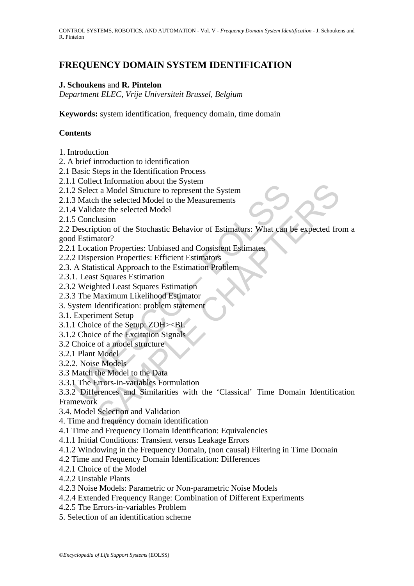# **FREQUENCY DOMAIN SYSTEM IDENTIFICATION**

# **J. Schoukens** and **R. Pintelon**

*Department ELEC, Vrije Universiteit Brussel, Belgium* 

**Keywords:** system identification, frequency domain, time domain

# **Contents**

- 1. Introduction
- 2. A brief introduction to identification
- 2.1 Basic Steps in the Identification Process
- 2.1.1 Collect Information about the System
- 2.1.2 Select a Model Structure to represent the System
- 2.1.3 Match the selected Model to the Measurements
- 2.1.4 Validate the selected Model
- 2.1.5 Conclusion

Concert Monday Select a Model Structure to represent the System<br>
2 Select a Model Structure to represent the System<br>
3 Match the selected Model to the Measurements<br>
4 Validate the selected Model<br>
5 Conclusion<br>
1 Estimator? 2.2 Description of the Stochastic Behavior of Estimators: What can be expected from a good Estimator?

- 2.2.1 Location Properties: Unbiased and Consistent Estimates
- 2.2.2 Dispersion Properties: Efficient Estimators
- 2.3. A Statistical Approach to the Estimation Problem
- 2.3.1. Least Squares Estimation
- 2.3.2 Weighted Least Squares Estimation
- 2.3.3 The Maximum Likelihood Estimator
- 3. System Identification: problem statement
- 3.1. Experiment Setup
- 3.1.1 Choice of the Setup: ZOH><BL
- 3.1.2 Choice of the Excitation Signals
- 3.2 Choice of a model structure
- 3.2.1 Plant Model
- 3.2.2. Noise Models
- 3.3 Match the Model to the Data
- 3.3.1 The Errors-in-variables Formulation

et minimiano about and system<br>
t a Model Structure to represent the System<br>
t a Model Structure to represent the System<br>
the selected Model<br>
lusion<br>
into of the Stochastic Behavior of Estimators: What can be expected frequ 3.3.2 Differences and Similarities with the 'Classical' Time Domain Identification Framework

- 3.4. Model Selection and Validation
- 4. Time and frequency domain identification
- 4.1 Time and Frequency Domain Identification: Equivalencies
- 4.1.1 Initial Conditions: Transient versus Leakage Errors
- 4.1.2 Windowing in the Frequency Domain, (non causal) Filtering in Time Domain
- 4.2 Time and Frequency Domain Identification: Differences
- 4.2.1 Choice of the Model
- 4.2.2 Unstable Plants
- 4.2.3 Noise Models: Parametric or Non-parametric Noise Models
- 4.2.4 Extended Frequency Range: Combination of Different Experiments
- 4.2.5 The Errors-in-variables Problem
- 5. Selection of an identification scheme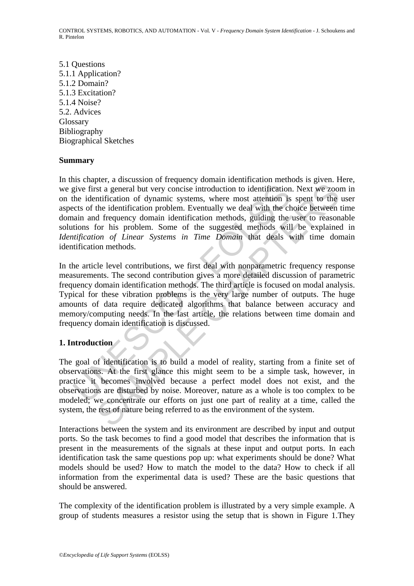5.1 Questions 5.1.1 Application? 5.1.2 Domain? 5.1.3 Excitation? 5.1.4 Noise? 5.2. Advices Glossary Bibliography Biographical Sketches

#### **Summary**

give first a general but very concise introduction to identification<br>the identification of dynamic systems, where most attention is<br>cets of the identification problem. Eventually we deal with the ch<br>ain and frequency domai is a general but very concise introduction to identification. Next we zoom<br>trification of dynamic systems, where most attention is spent to the<br>the dentification problem. Eventually we deal with the choice between<br>defenden In this chapter, a discussion of frequency domain identification methods is given. Here, we give first a general but very concise introduction to identification. Next we zoom in on the identification of dynamic systems, where most attention is spent to the user aspects of the identification problem. Eventually we deal with the choice between time domain and frequency domain identification methods, guiding the user to reasonable solutions for his problem. Some of the suggested methods will be explained in *Identification of Linear Systems in Time Domain* that deals with time domain identification methods.

In the article level contributions, we first deal with nonparametric frequency response measurements. The second contribution gives a more detailed discussion of parametric frequency domain identification methods. The third article is focused on modal analysis. Typical for these vibration problems is the very large number of outputs. The huge amounts of data require dedicated algorithms that balance between accuracy and memory/computing needs. In the last article, the relations between time domain and frequency domain identification is discussed.

# **1. Introduction**

The goal of identification is to build a model of reality, starting from a finite set of observations. At the first glance this might seem to be a simple task, however, in practice it becomes involved because a perfect model does not exist, and the observations are disturbed by noise. Moreover, nature as a whole is too complex to be modeled; we concentrate our efforts on just one part of reality at a time, called the system, the rest of nature being referred to as the environment of the system.

Interactions between the system and its environment are described by input and output ports. So the task becomes to find a good model that describes the information that is present in the measurements of the signals at these input and output ports. In each identification task the same questions pop up: what experiments should be done? What models should be used? How to match the model to the data? How to check if all information from the experimental data is used? These are the basic questions that should be answered.

The complexity of the identification problem is illustrated by a very simple example. A group of students measures a resistor using the setup that is shown in Figure 1.They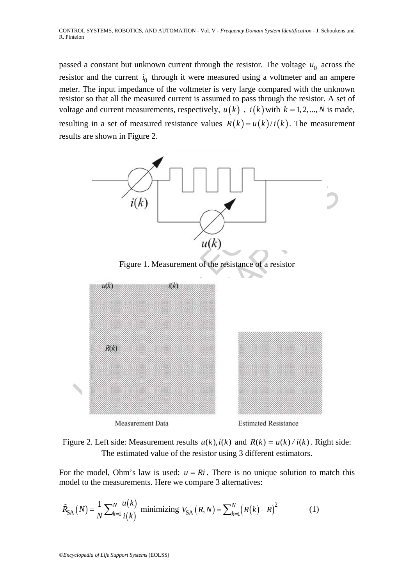passed a constant but unknown current through the resistor. The voltage  $u_0$  across the resistor and the current  $i_0$  through it were measured using a voltmeter and an ampere meter. The input impedance of the voltmeter is very large compared with the unknown resistor so that all the measured current is assumed to pass through the resistor. A set of voltage and current measurements, respectively,  $u(k)$ ,  $i(k)$  with  $k = 1, 2, ..., N$  is made, resulting in a set of measured resistance values  $R(k) = u(k)/i(k)$ . The measurement results are shown in Figure 2.



Figure 2. Left side: Measurement results  $u(k)$ ,  $i(k)$  and  $R(k) = u(k) / i(k)$ . Right side: The estimated value of the resistor using 3 different estimators.

For the model, Ohm's law is used:  $u = Ri$ . There is no unique solution to match this model to the measurements. Here we compare 3 alternatives:

$$
\hat{R}_{SA}(N) = \frac{1}{N} \sum_{k=1}^{N} \frac{u(k)}{i(k)}
$$
 minimizing  $V_{SA}(R,N) = \sum_{k=1}^{N} (R(k) - R)^2$  (1)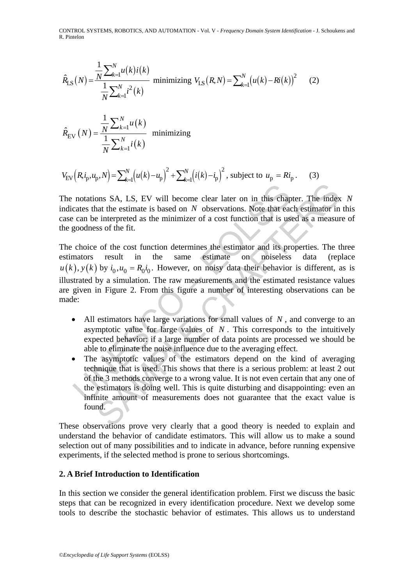CONTROL SYSTEMS, ROBOTICS, AND AUTOMATION - Vol. V - *Frequency Domain System Identification* - J. Schoukens and R. Pintelon

$$
\hat{R}_{LS}(N) = \frac{\frac{1}{N} \sum_{k=1}^{N} u(k) i(k)}{\frac{1}{N} \sum_{k=1}^{N} i^{2}(k)} \text{ minimizing } V_{LS}(R,N) = \sum_{k=1}^{N} (u(k) - Ri(k))^{2} \tag{2}
$$

$$
\hat{R}_{\text{EV}}\left(N\right) = \frac{\frac{1}{N} \sum_{k=1}^{N} u\left(k\right)}{\frac{1}{N} \sum_{k=1}^{N} i\left(k\right)} \text{ minimizing}
$$

$$
V_{\rm EV}\Big(R, i_{\rm p}, u_{\rm p}, N\Big) = \sum_{k=1}^N \Big(u(k) - u_{\rm p}\Big)^2 + \sum_{k=1}^N \Big(i(k) - i_{\rm p}\Big)^2
$$
, subject to  $u_{\rm p} = Ri_{\rm p}$ . (3)

The notations SA, LS, EV will become clear later on in this chapter. The index *N* indicates that the estimate is based on *N* observations. Note that each estimator in this case can be interpreted as the minimizer of a cost function that is used as a measure of the goodness of the fit.

notations SA, LS, EV will become clear later on in this chap<br>cates that the estimate is based on N observations. Note that eac<br>can be interpreted as the minimizer of a cost function that is us<br>goodness of the fit.<br>choice bons SA, LS, EV will become clear later on in this chapter. The index<br>at the estimate is based on N observations. Note that each estimator in<br>interpreted as the minimizer of a cost function that is used as a measur<br>so of The choice of the cost function determines the estimator and its properties. The three estimators result in the same estimate on noiseless data (replace  $u(k)$ ,  $y(k)$  by  $i_0$ ,  $u_0 = R_0 i_0$ . However, on noisy data their behavior is different, as is illustrated by a simulation. The raw measurements and the estimated resistance values are given in Figure 2. From this figure a number of interesting observations can be made:

- All estimators have large variations for small values of *N* , and converge to an asymptotic value for large values of *N* . This corresponds to the intuitively expected behavior: if a large number of data points are processed we should be able to eliminate the noise influence due to the averaging effect.
- The asymptotic values of the estimators depend on the kind of averaging technique that is used. This shows that there is a serious problem: at least 2 out of the 3 methods converge to a wrong value. It is not even certain that any one of the estimators is doing well. This is quite disturbing and disappointing: even an infinite amount of measurements does not guarantee that the exact value is found.

These observations prove very clearly that a good theory is needed to explain and understand the behavior of candidate estimators. This will allow us to make a sound selection out of many possibilities and to indicate in advance, before running expensive experiments, if the selected method is prone to serious shortcomings.

#### **2. A Brief Introduction to Identification**

In this section we consider the general identification problem. First we discuss the basic steps that can be recognized in every identification procedure. Next we develop some tools to describe the stochastic behavior of estimates. This allows us to understand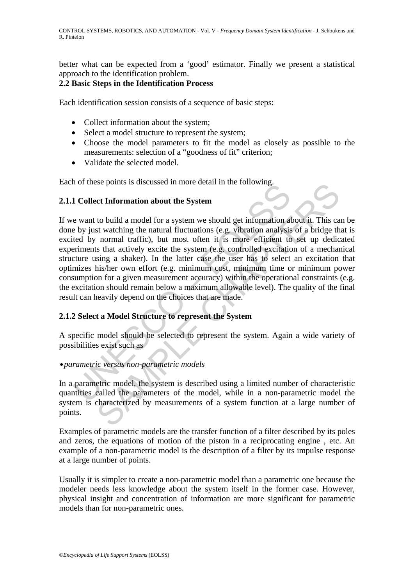better what can be expected from a 'good' estimator. Finally we present a statistical approach to the identification problem.

# **2.2 Basic Steps in the Identification Process**

Each identification session consists of a sequence of basic steps:

- Collect information about the system;
- Select a model structure to represent the system;
- Choose the model parameters to fit the model as closely as possible to the measurements: selection of a "goodness of fit" criterion;
- Validate the selected model.

Each of these points is discussed in more detail in the following.

# **2.1.1 Collect Information about the System**

1 Collect Information about the System<br>
e want to build a model for a system we should get information all<br>
by just vatching the natural fluctuations (e.g. vibration analysis<br>
tetd by normal traffic, but most often it is m See points is used as a more detain in the formation about the **System**<br>to build a model for a system we should get information about it. This cast<br>st watching the natural fluctuations (e.g. vibration analysis of a bridge If we want to build a model for a system we should get information about it. This can be done by just watching the natural fluctuations (e.g. vibration analysis of a bridge that is excited by normal traffic), but most often it is more efficient to set up dedicated experiments that actively excite the system (e.g. controlled excitation of a mechanical structure using a shaker). In the latter case the user has to select an excitation that optimizes his/her own effort (e.g. minimum cost, minimum time or minimum power consumption for a given measurement accuracy) within the operational constraints (e.g. the excitation should remain below a maximum allowable level). The quality of the final result can heavily depend on the choices that are made.

# **2.1.2 Select a Model Structure to represent the System**

A specific model should be selected to represent the system. Again a wide variety of possibilities exist such as

# **•***parametric versus non-parametric models*

In a parametric model, the system is described using a limited number of characteristic quantities called the parameters of the model, while in a non-parametric model the system is characterized by measurements of a system function at a large number of points.

Examples of parametric models are the transfer function of a filter described by its poles and zeros, the equations of motion of the piston in a reciprocating engine , etc. An example of a non-parametric model is the description of a filter by its impulse response at a large number of points.

Usually it is simpler to create a non-parametric model than a parametric one because the modeler needs less knowledge about the system itself in the former case. However, physical insight and concentration of information are more significant for parametric models than for non-parametric ones.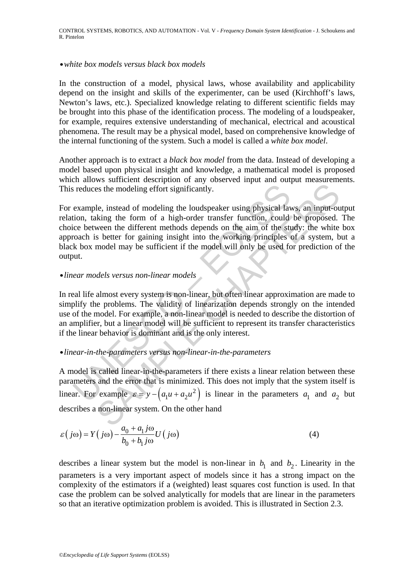#### **•***white box models versus black box models*

In the construction of a model, physical laws, whose availability and applicability depend on the insight and skills of the experimenter, can be used (Kirchhoff's laws, Newton's laws, etc.). Specialized knowledge relating to different scientific fields may be brought into this phase of the identification process. The modeling of a loudspeaker, for example, requires extensive understanding of mechanical, electrical and acoustical phenomena. The result may be a physical model, based on comprehensive knowledge of the internal functioning of the system. Such a model is called a *white box model*.

Another approach is to extract a *black box model* from the data. Instead of developing a model based upon physical insight and knowledge, a mathematical model is proposed which allows sufficient description of any observed input and output measurements. This reduces the modeling effort significantly.

is reduces the modeling effort significantly.<br>
example, instead of modeling the loudspeaker using physical lation, taking the form of a high-order transfer function, could<br>
cice between the different methods depends on th Ess the modeling effort significantly.<br>
Le, instead of modeling the loudspeaker using physical laws, an input-ou-<br>
Le, instead of modeling the loudspeaker using physical laws, an input-ou-<br>
king the form of a high-order t For example, instead of modeling the loudspeaker using physical laws, an input-output relation, taking the form of a high-order transfer function, could be proposed. The choice between the different methods depends on the aim of the study: the white box approach is better for gaining insight into the working principles of a system, but a black box model may be sufficient if the model will only be used for prediction of the output.

#### **•***linear models versus non-linear models*

In real life almost every system is non-linear, but often linear approximation are made to simplify the problems. The validity of linearization depends strongly on the intended use of the model. For example, a non-linear model is needed to describe the distortion of an amplifier, but a linear model will be sufficient to represent its transfer characteristics if the linear behavior is dominant and is the only interest.

#### **•***linear-in-the-parameters versus non-linear-in-the-parameters*

A model is called linear-in-the-parameters if there exists a linear relation between these parameters and the error that is minimized. This does not imply that the system itself is linear. For example  $\varepsilon = y - (a_1 u + a_2 u^2)$  is linear in the parameters  $a_1$  and  $a_2$  but describes a non-linear system. On the other hand

$$
\varepsilon(j\omega) = Y(j\omega) - \frac{a_0 + a_1 j\omega}{b_0 + b_1 j\omega} U(j\omega)
$$
\n(4)

describes a linear system but the model is non-linear in  $b_1$  and  $b_2$ . Linearity in the parameters is a very important aspect of models since it has a strong impact on the complexity of the estimators if a (weighted) least squares cost function is used. In that case the problem can be solved analytically for models that are linear in the parameters so that an iterative optimization problem is avoided. This is illustrated in Section 2.3.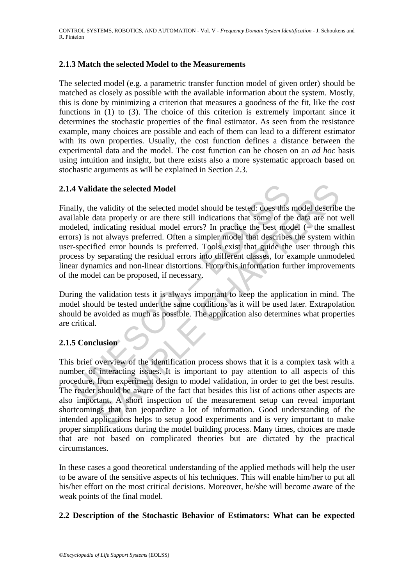# **2.1.3 Match the selected Model to the Measurements**

The selected model (e.g. a parametric transfer function model of given order) should be matched as closely as possible with the available information about the system. Mostly, this is done by minimizing a criterion that measures a goodness of the fit, like the cost functions in (1) to (3). The choice of this criterion is extremely important since it determines the stochastic properties of the final estimator. As seen from the resistance example, many choices are possible and each of them can lead to a different estimator with its own properties. Usually, the cost function defines a distance between the experimental data and the model. The cost function can be chosen on an *ad hoc* basis using intuition and insight, but there exists also a more systematic approach based on stochastic arguments as will be explained in Section 2.3.

# **2.1.4 Validate the selected Model**

**4 Validate the selected Model**<br>
ally, the validity of the selected model should be tested: does this<br>
alable data properly or are there still indications that some of the<br>
leled, indicating residual model errors? In prac late the selected Model<br>
validity of the selected model should be tested: does this model describe<br>
tata properly or are there still indications that some of the data are not<br>
ndicating residual model errors? In practice t Finally, the validity of the selected model should be tested: does this model describe the available data properly or are there still indications that some of the data are not well modeled, indicating residual model errors? In practice the best model  $(=$  the smallest errors) is not always preferred. Often a simpler model that describes the system within user-specified error bounds is preferred. Tools exist that guide the user through this process by separating the residual errors into different classes, for example unmodeled linear dynamics and non-linear distortions. From this information further improvements of the model can be proposed, if necessary.

During the validation tests it is always important to keep the application in mind. The model should be tested under the same conditions as it will be used later. Extrapolation should be avoided as much as possible. The application also determines what properties are critical.

# **2.1.5 Conclusion**

This brief overview of the identification process shows that it is a complex task with a number of interacting issues. It is important to pay attention to all aspects of this procedure, from experiment design to model validation, in order to get the best results. The reader should be aware of the fact that besides this list of actions other aspects are also important. A short inspection of the measurement setup can reveal important shortcomings that can jeopardize a lot of information. Good understanding of the intended applications helps to setup good experiments and is very important to make proper simplifications during the model building process. Many times, choices are made that are not based on complicated theories but are dictated by the practical circumstances.

In these cases a good theoretical understanding of the applied methods will help the user to be aware of the sensitive aspects of his techniques. This will enable him/her to put all his/her effort on the most critical decisions. Moreover, he/she will become aware of the weak points of the final model.

#### **2.2 Description of the Stochastic Behavior of Estimators: What can be expected**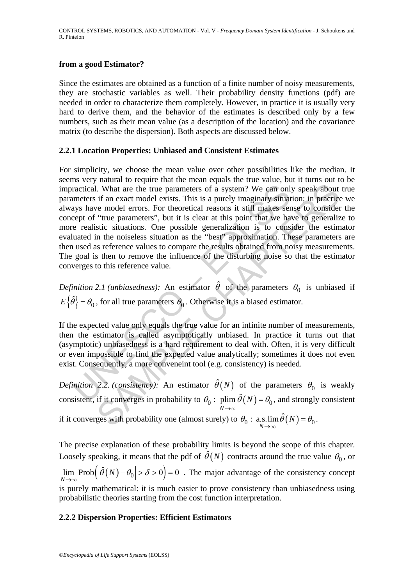# **from a good Estimator?**

Since the estimates are obtained as a function of a finite number of noisy measurements, they are stochastic variables as well. Their probability density functions (pdf) are needed in order to characterize them completely. However, in practice it is usually very hard to derive them, and the behavior of the estimates is described only by a few numbers, such as their mean value (as a description of the location) and the covariance matrix (to describe the dispersion). Both aspects are discussed below.

#### **2.2.1 Location Properties: Unbiased and Consistent Estimates**

ractical. What are the true parameters of a system? We can only<br>meters if an exact model exists. This is a purely imaginary situat<br>ays have model errors. For theoretical reasons it still makes serept of "true parameters", I. What are the true parameters of a system? We can only speak about<br>if an exact model exists. This is a purely imaginary situation: in practice<br>reduct errodel errors. For theoretical reasons it still makes sense to consi For simplicity, we choose the mean value over other possibilities like the median. It seems very natural to require that the mean equals the true value, but it turns out to be impractical. What are the true parameters of a system? We can only speak about true parameters if an exact model exists. This is a purely imaginary situation; in practice we always have model errors. For theoretical reasons it still makes sense to consider the concept of "true parameters", but it is clear at this point that we have to generalize to more realistic situations. One possible generalization is to consider the estimator evaluated in the noiseless situation as the "best" approximation. These parameters are then used as reference values to compare the results obtained from noisy measurements. The goal is then to remove the influence of the disturbing noise so that the estimator converges to this reference value.

*Definition 2.1 (unbiasedness):* An estimator  $\hat{\theta}$  of the parameters  $\theta_0$  is unbiased if  $E\{\hat{\theta}\} = \theta_0$ , for all true parameters  $\theta_0$ . Otherwise it is a biased estimator.

If the expected value only equals the true value for an infinite number of measurements, then the estimator is called asymptotically unbiased. In practice it turns out that (asymptotic) unbiasedness is a hard requirement to deal with. Often, it is very difficult or even impossible to find the expected value analytically; sometimes it does not even exist. Consequently, a more conveneint tool (e.g. consistency) is needed.

*Definition 2.2. (consistency):* An estimator  $\hat{\theta}(N)$  of the parameters  $\theta_0$  is weakly consistent, if it converges in probability to  $\theta_0$ : plim  $\hat{\theta}(N) = \theta_0$  $\theta_0$ : plim  $\theta(N) = \theta_0$  $\rightarrow$ = ∞ , and strongly consistent if it converges with probability one (almost surely) to  $\theta_0$ : a.s.  $\lim_{N \to \infty} \hat{\theta}(N) = \theta_0$  $\theta_0$ : a.s.  $\lim \theta(N) = \theta_0$  $\rightarrow$ = ∞ .

The precise explanation of these probability limits is beyond the scope of this chapter. Loosely speaking, it means that the pdf of  $\hat{\theta}(N)$  contracts around the true value  $\theta_0$ , or  $\lim_{N \to \infty} \text{Prob}\Big(\Big|\hat{\theta}(N) - \theta_0\Big| > \delta > 0\Big) = 0$  $|\ddot{\theta}(N)-\theta_0|>\delta$  $\rightarrow$  $-\theta_0$ |>  $\delta$  > 0|= ∞ . The major advantage of the consistency concept is purely mathematical: it is much easier to prove consistency than unbiasedness using probabilistic theories starting from the cost function interpretation.

# **2.2.2 Dispersion Properties: Efficient Estimators**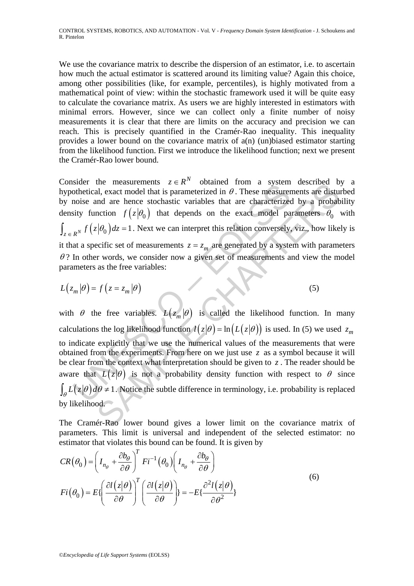We use the covariance matrix to describe the dispersion of an estimator, i.e. to ascertain how much the actual estimator is scattered around its limiting value? Again this choice, among other possibilities (like, for example, percentiles), is highly motivated from a mathematical point of view: within the stochastic framework used it will be quite easy to calculate the covariance matrix. As users we are highly interested in estimators with minimal errors. However, since we can collect only a finite number of noisy measurements it is clear that there are limits on the accuracy and precision we can reach. This is precisely quantified in the Cramér-Rao inequality. This inequality provides a lower bound on the covariance matrix of a(n) (un)biased estimator starting from the likelihood function. First we introduce the likelihood function; next we present the Cramér-Rao lower bound.

Consider the measurements  $z \in R^N$  obtained from a system described by a hypothetical, exact model that is parameterized in  $\theta$ . These measurements are disturbed by noise and are hence stochastic variables that are characterized by a probability density function  $f(z|\theta_0)$  that depends on the exact model parameters  $\theta_0$  with  $\int_{z \in R^N} f(z|\theta_0) dz = 1$ . Next we can interpret this relation conversely, viz., how likely is it that a specific set of measurements  $z = z_m$  are generated by a system with parameters  $\theta$ ? In other words, we consider now a given set of measurements and view the model parameters as the free variables:

$$
L(z_m|\theta) = f(z = z_m|\theta)
$$
 (5)

since the measurements  $z \in \mathbb{R}$  to columed from a system<br>tothetical, exact model that is parameterized in  $\theta$ . These measurem<br>noise and are hence stochastic variables that are characterize<br>sity function  $f(z|\theta_0)$  that the measurements  $z \in R$  contained nom a system decrease of the case of the case of the case of the case of  $|z|\theta_0$  and are hence stochastic variables that are characterized by a probable model that is parameterized in  $\$ with  $\theta$  the free variables.  $L(z_m|\theta)$  is called the likelihood function. In many calculations the log likelihood function  $\ell(z|\theta) = \ln(L(z|\theta))$  is used. In (5) we used  $z_m$ to indicate explicitly that we use the numerical values of the measurements that were obtained from the experiments. From here on we just use *z* as a symbol because it will be clear from the context what interpretation should be given to  $\zeta$ . The reader should be aware that  $L(z|\theta)$  is not a probability density function with respect to  $\theta$  since  $\int_{\theta} L(z|\theta) d\theta \neq 1$ . Notice the subtle difference in terminology, i.e. probability is replaced by likelihood.

The Cramér-Rao lower bound gives a lower limit on the covariance matrix of parameters. This limit is universal and independent of the selected estimator: no estimator that violates this bound can be found. It is given by

$$
CR(\theta_0) = \left(I_{n_\theta} + \frac{\partial b_\theta}{\partial \theta}\right)^T Fi^{-1}(\theta_0) \left(I_{n_\theta} + \frac{\partial b_\theta}{\partial \theta}\right)
$$
  
\n
$$
Fi(\theta_0) = E\left\{\left(\frac{\partial l(z|\theta)}{\partial \theta}\right)^T \left(\frac{\partial l(z|\theta)}{\partial \theta}\right)\right\} = -E\left\{\frac{\partial^2 l(z|\theta)}{\partial \theta^2}\right\}
$$
\n(6)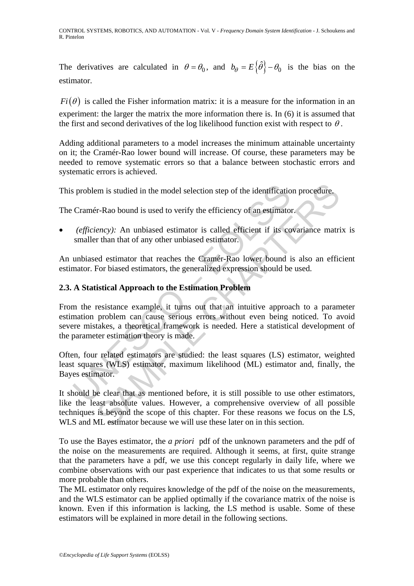The derivatives are calculated in  $\theta = \theta_0$ , and  $b_\theta = E\{\hat{\theta}\} - \theta_0$  is the bias on the estimator.

 $Fi(\theta)$  is called the Fisher information matrix: it is a measure for the information in an experiment: the larger the matrix the more information there is. In (6) it is assumed that the first and second derivatives of the log likelihood function exist with respect to  $\theta$ .

Adding additional parameters to a model increases the minimum attainable uncertainty on it; the Cramér-Rao lower bound will increase. Of course, these parameters may be needed to remove systematic errors so that a balance between stochastic errors and systematic errors is achieved.

This problem is studied in the model selection step of the identification procedure.

The Cramér-Rao bound is used to verify the efficiency of an estimator.

(efficiency): An unbiased estimator is called efficient if its covariance matrix is smaller than that of any other unbiased estimator.

An unbiased estimator that reaches the Cramér-Rao lower bound is also an efficient estimator. For biased estimators, the generalized expression should be used.

# **2.3. A Statistical Approach to the Estimation Problem**

s problem is studied in the model selection step of the identificatio<br>Cramér-Rao bound is used to verify the efficiency of an estimator<br>(*efficiency*): An unbiased estimator is called efficient if its co<br>smaller than that Em is studied in the model selection step of the identification procedure.<br>
Fir-Rao bound is used to verify the efficiency of an estimator.<br> *ency):* An unbiased estimator is called efficient if its covariance matri<br>
r th From the resistance example, it turns out that an intuitive approach to a parameter estimation problem can cause serious errors without even being noticed. To avoid severe mistakes, a theoretical framework is needed. Here a statistical development of the parameter estimation theory is made.

Often, four related estimators are studied: the least squares (LS) estimator, weighted least squares (WLS) estimator, maximum likelihood (ML) estimator and, finally, the Bayes estimator.

It should be clear that as mentioned before, it is still possible to use other estimators, like the least absolute values. However, a comprehensive overview of all possible techniques is beyond the scope of this chapter. For these reasons we focus on the LS, WLS and ML estimator because we will use these later on in this section.

To use the Bayes estimator, the *a priori* pdf of the unknown parameters and the pdf of the noise on the measurements are required. Although it seems, at first, quite strange that the parameters have a pdf, we use this concept regularly in daily life, where we combine observations with our past experience that indicates to us that some results or more probable than others.

The ML estimator only requires knowledge of the pdf of the noise on the measurements, and the WLS estimator can be applied optimally if the covariance matrix of the noise is known. Even if this information is lacking, the LS method is usable. Some of these estimators will be explained in more detail in the following sections.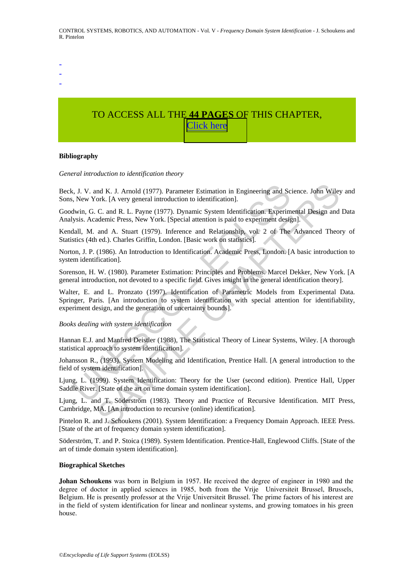- -

-

# TO ACCESS ALL THE **44 PAGES** OF THIS CHAPTER, [C](https://www.eolss.net/ebooklib/sc_cart.aspx?File=E6-43-08)[lick here](http://www.eolss.net/Eolss-sampleAllChapter.aspx)

#### **Bibliography**

*General introduction to identification theory* 

Beck, J. V. and K. J. Arnold (1977). Parameter Estimation in Engineering and Science. John Wiley and Sons, New York. [A very general introduction to identification].

Goodwin, G. C. and R. L. Payne (1977). Dynamic System Identification. Experimental Design and Data Analysis. Academic Press, New York. [Special attention is paid to experiment design].

Kendall, M. and A. Stuart (1979). Inference and Relationship, vol. 2 of The Advanced Theory of Statistics (4th ed.). Charles Griffin, London. [Basic work on statistics].

Norton, J. P. (1986). An Introduction to Identification. Academic Press, London. [A basic introduction to system identification].

Sorenson, H. W. (1980). Parameter Estimation: Principles and Problems. Marcel Dekker, New York. [A general introduction, not devoted to a specific field. Gives insight in the general identification theory].

i, J. V. and K. J. Arnold (1977). Parameter Estimation in Engineering and Sc<br>
New York. [A very general introduction to identification].<br>
New York. [A very general introduction to identification].<br>
New York. [A very genera md K. J. Arnold (1977). Parameter Estimation in Engineering and Science. John Wiley<br>ork. [A very general introduction to identification].<br>C. and R. L. Payne (1977). Dynamic System Identification. Experimental Design and<br>ad Walter, E. and L. Pronzato (1997). Identification of Parametric Models from Experimental Data. Springer, Paris. [An introduction to system identification with special attention for identifiability, experiment design, and the generation of uncertainty bounds].

*Books dealing with system identification* 

Hannan E.J. and Manfred Deistler (1988), The Statistical Theory of Linear Systems, Wiley. [A thorough statistical approach to system identification].

Johansson R., (1993). System Modeling and Identification, Prentice Hall. [A general introduction to the field of system identification].

Ljung, L. (1999). System Identification: Theory for the User (second edition). Prentice Hall, Upper Saddle River. [State of the art on time domain system identification].

Ljung, L. and T. Söderström (1983). Theory and Practice of Recursive Identification. MIT Press, Cambridge, MA. [An introduction to recursive (online) identification].

Pintelon R. and J. Schoukens (2001). System Identification: a Frequency Domain Approach. IEEE Press. [State of the art of frequency domain system identification].

Söderström, T. and P. Stoica (1989). System Identification. Prentice-Hall, Englewood Cliffs. [State of the art of timde domain system identification].

#### **Biographical Sketches**

**Johan Schoukens** was born in Belgium in 1957. He received the degree of engineer in 1980 and the degree of doctor in applied sciences in 1985, both from the Vrije Universiteit Brussel, Brussels, Belgium. He is presently professor at the Vrije Universiteit Brussel. The prime factors of his interest are in the field of system identification for linear and nonlinear systems, and growing tomatoes in his green house.